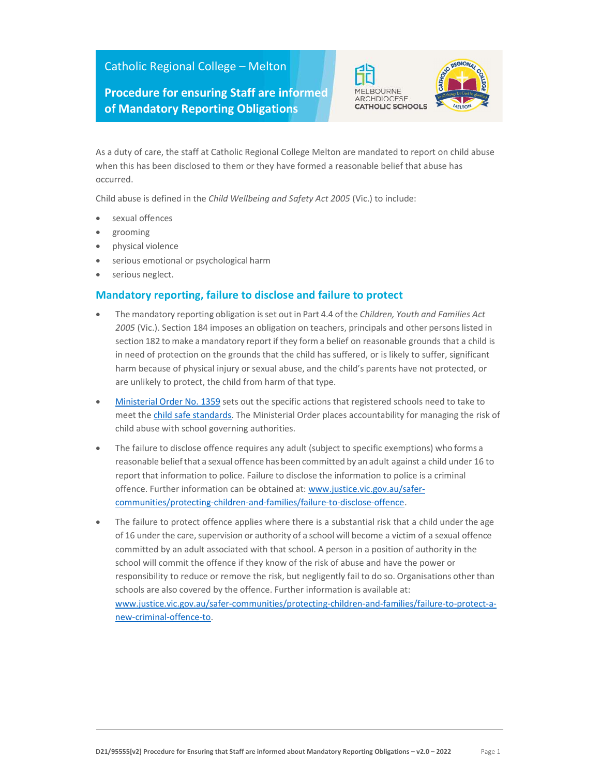## Catholic Regional College – Melton

## Procedure for ensuring Staff are informed of Mandatory Reporting Obligations



As a duty of care, the staff at Catholic Regional College Melton are mandated to report on child abuse when this has been disclosed to them or they have formed a reasonable belief that abuse has occurred.

Child abuse is defined in the Child Wellbeing and Safety Act 2005 (Vic.) to include:

- sexual offences
- grooming
- physical violence
- serious emotional or psychological harm
- serious neglect.

## Mandatory reporting, failure to disclose and failure to protect

- The mandatory reporting obligation is set out in Part 4.4 of the Children, Youth and Families Act 2005 (Vic.). Section 184 imposes an obligation on teachers, principals and other persons listed in section 182 to make a mandatory report if they form a belief on reasonable grounds that a child is in need of protection on the grounds that the child has suffered, or is likely to suffer, significant harm because of physical injury or sexual abuse, and the child's parents have not protected, or are unlikely to protect, the child from harm of that type.
- Ministerial Order No. 1359 sets out the specific actions that registered schools need to take to meet the child safe standards. The Ministerial Order places accountability for managing the risk of child abuse with school governing authorities.
- The failure to disclose offence requires any adult (subject to specific exemptions) who forms a reasonable belief that a sexual offence has been committed by an adult against a child under 16 to report that information to police. Failure to disclose the information to police is a criminal offence. Further information can be obtained at: www.justice.vic.gov.au/safercommunities/protecting-children-and-families/failure-to-disclose-offence.
- The failure to protect offence applies where there is a substantial risk that a child under the age of 16 under the care, supervision or authority of a school will become a victim of a sexual offence committed by an adult associated with that school. A person in a position of authority in the school will commit the offence if they know of the risk of abuse and have the power or responsibility to reduce or remove the risk, but negligently fail to do so. Organisations other than schools are also covered by the offence. Further information is available at: www.justice.vic.gov.au/safer-communities/protecting-children-and-families/failure-to-protect-anew-criminal-offence-to.